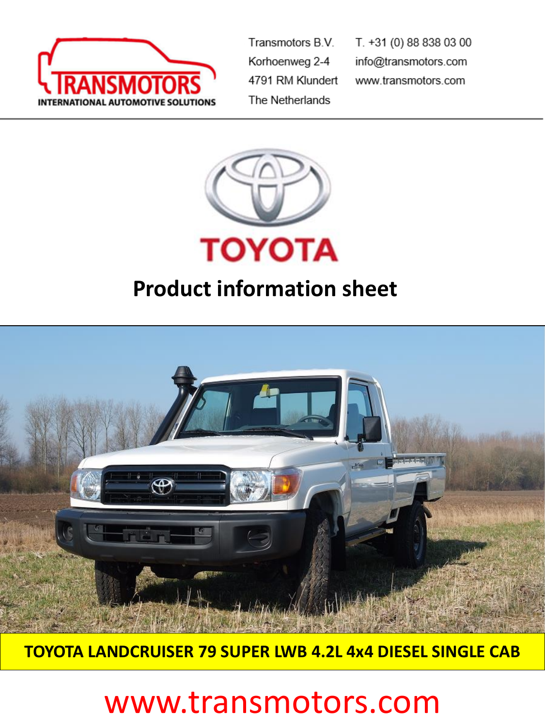

Transmotors B.V. Korhoenweg 2-4 4791 RM Klundert The Netherlands

T. +31 (0) 88 838 03 00 info@transmotors.com www.transmotors.com



## **Product information sheet**



**TOYOTA LANDCRUISER 79 SUPER LWB 4.2L 4x4 DIESEL SINGLE CAB**

# www.transmotors.com